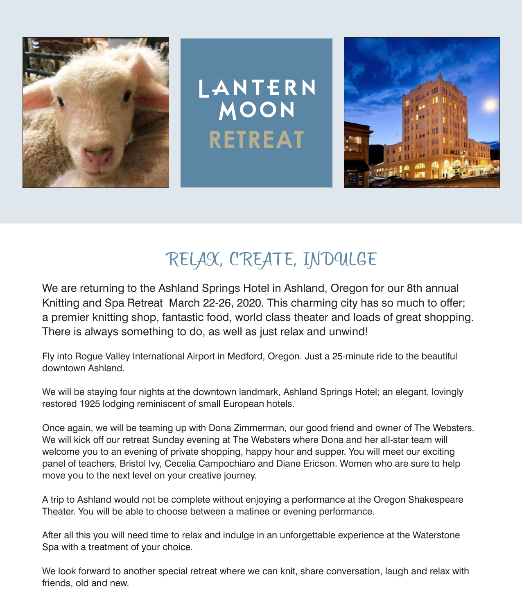

### RELAX, CREATE, INDULGE

We are returning to the Ashland Springs Hotel in Ashland, Oregon for our 8th annual Knitting and Spa Retreat March 22-26, 2020. This charming city has so much to offer; a premier knitting shop, fantastic food, world class theater and loads of great shopping. There is always something to do, as well as just relax and unwind!

Fly into Rogue Valley International Airport in Medford, Oregon. Just a 25-minute ride to the beautiful downtown Ashland.

We will be staying four nights at the downtown landmark, Ashland Springs Hotel; an elegant, lovingly restored 1925 lodging reminiscent of small European hotels.

Once again, we will be teaming up with Dona Zimmerman, our good friend and owner of The Websters. We will kick off our retreat Sunday evening at The Websters where Dona and her all-star team will welcome you to an evening of private shopping, happy hour and supper. You will meet our exciting panel of teachers, Bristol Ivy, Cecelia Campochiaro and Diane Ericson. Women who are sure to help move you to the next level on your creative journey.

A trip to Ashland would not be complete without enjoying a performance at the Oregon Shakespeare Theater. You will be able to choose between a matinee or evening performance.

After all this you will need time to relax and indulge in an unforgettable experience at the Waterstone Spa with a treatment of your choice.

We look forward to another special retreat where we can knit, share conversation, laugh and relax with friends, old and new.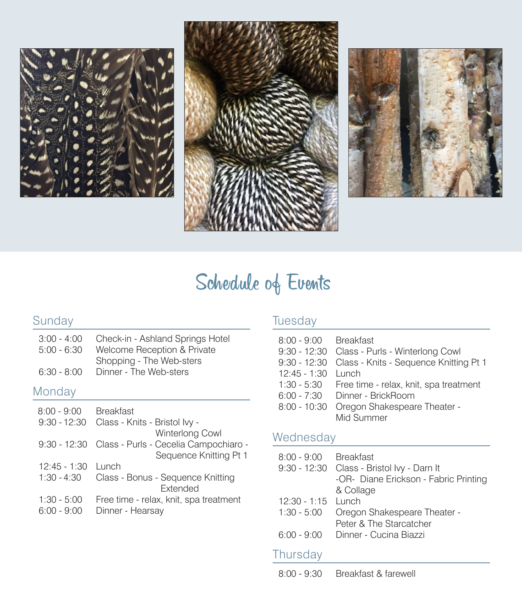





## Schedule of Events

### Sunday

| $3:00 - 4:00$ | Check-in - Ashland Springs Hotel |
|---------------|----------------------------------|
| $5:00 - 6:30$ | Welcome Reception & Private      |
|               | Shopping - The Web-sters         |
| $6:30 - 8:00$ | Dinner - The Web-sters           |

#### Monday

| <b>Breakfast</b>                                   |
|----------------------------------------------------|
| Class - Knits - Bristol Ivy -                      |
| Winterlong Cowl                                    |
| 9:30 - 12:30 Class - Purls - Cecelia Campochiaro - |
| Sequence Knitting Pt 1                             |
|                                                    |
| Class - Bonus - Sequence Knitting                  |
| <b>Extended</b>                                    |
| Free time - relax, knit, spa treatment             |
| Dinner - Hearsay                                   |
|                                                    |

### **Tuesday**

| 8:00 - 9:00 Breakfast<br>$12:45 - 1:30$<br>$6:00 - 7:30$<br>$8:00 - 10:30$ | 9:30 - 12:30 Class - Purls - Winterlong Cowl<br>9:30 - 12:30 Class - Knits - Sequence Knitting Pt 1<br>l unch<br>1:30 - 5:30 Free time - relax, knit, spa treatment<br>Dinner - BrickBoom<br>Oregon Shakespeare Theater -<br>Mid Summer |
|----------------------------------------------------------------------------|-----------------------------------------------------------------------------------------------------------------------------------------------------------------------------------------------------------------------------------------|
|                                                                            |                                                                                                                                                                                                                                         |

### Wednesday

| 8:00 - 9:00 Breakfast |                                       |
|-----------------------|---------------------------------------|
|                       |                                       |
|                       | -OR- Diane Erickson - Fabric Printing |
|                       | & Collage                             |
| $12:30 - 1:15$ lunch  |                                       |
| $1:30 - 5:00$         | Oregon Shakespeare Theater -          |
|                       | Peter & The Starcatcher               |
|                       | 6:00 - 9:00 Dinner - Cucina Biazzi    |
|                       |                                       |
| Thursday              |                                       |

8:00 - 9:30 Breakfast & farewell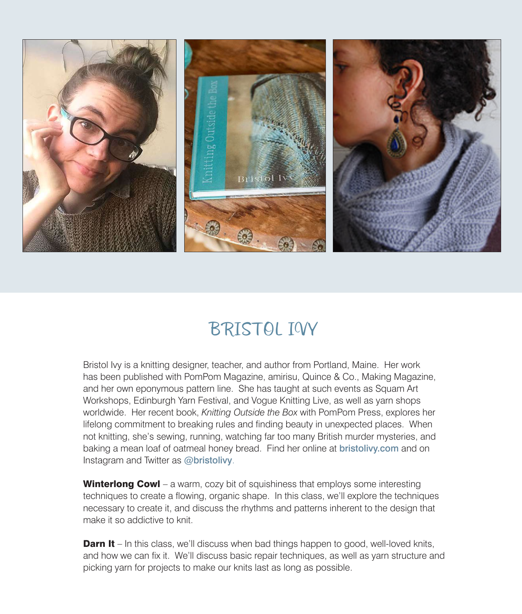

### BRISTOL IVY

Bristol Ivy is a knitting designer, teacher, and author from Portland, Maine. Her work has been published with PomPom Magazine, amirisu, Quince & Co., Making Magazine, and her own eponymous pattern line. She has taught at such events as Squam Art Workshops, Edinburgh Yarn Festival, and Vogue Knitting Live, as well as yarn shops worldwide. Her recent book, *Knitting Outside the Box* with PomPom Press, explores her lifelong commitment to breaking rules and finding beauty in unexpected places. When not knitting, she's sewing, running, watching far too many British murder mysteries, and baking a mean loaf of oatmeal honey bread. Find her online at bristolivy.com and on Instagram and Twitter as @bristolivy.

**Winterlong Cowl** – a warm, cozy bit of squishiness that employs some interesting techniques to create a flowing, organic shape. In this class, we'll explore the techniques necessary to create it, and discuss the rhythms and patterns inherent to the design that make it so addictive to knit.

**Darn It** – In this class, we'll discuss when bad things happen to good, well-loved knits, and how we can fix it. We'll discuss basic repair techniques, as well as yarn structure and picking yarn for projects to make our knits last as long as possible.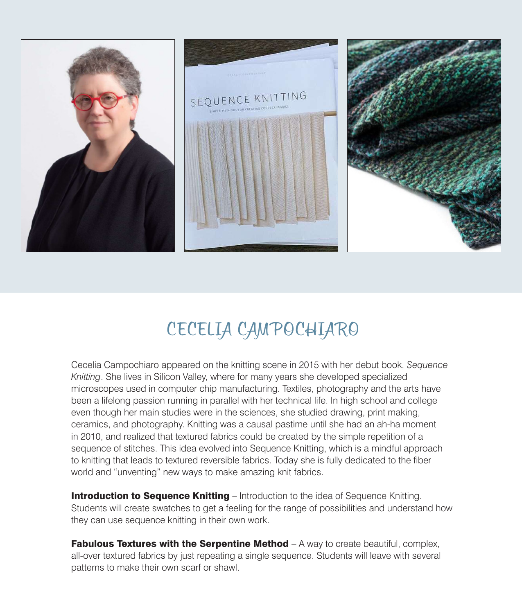

## CECELIA CAMPOCHIARO

Cecelia Campochiaro appeared on the knitting scene in 2015 with her debut book, *Sequence Knitting*. She lives in Silicon Valley, where for many years she developed specialized microscopes used in computer chip manufacturing. Textiles, photography and the arts have been a lifelong passion running in parallel with her technical life. In high school and college even though her main studies were in the sciences, she studied drawing, print making, ceramics, and photography. Knitting was a causal pastime until she had an ah-ha moment in 2010, and realized that textured fabrics could be created by the simple repetition of a sequence of stitches. This idea evolved into Sequence Knitting, which is a mindful approach to knitting that leads to textured reversible fabrics. Today she is fully dedicated to the fiber world and "unventing" new ways to make amazing knit fabrics.

**Introduction to Sequence Knitting** – Introduction to the idea of Sequence Knitting. Students will create swatches to get a feeling for the range of possibilities and understand how they can use sequence knitting in their own work.

**Fabulous Textures with the Serpentine Method**  $- A$  way to create beautiful, complex, all-over textured fabrics by just repeating a single sequence. Students will leave with several patterns to make their own scarf or shawl.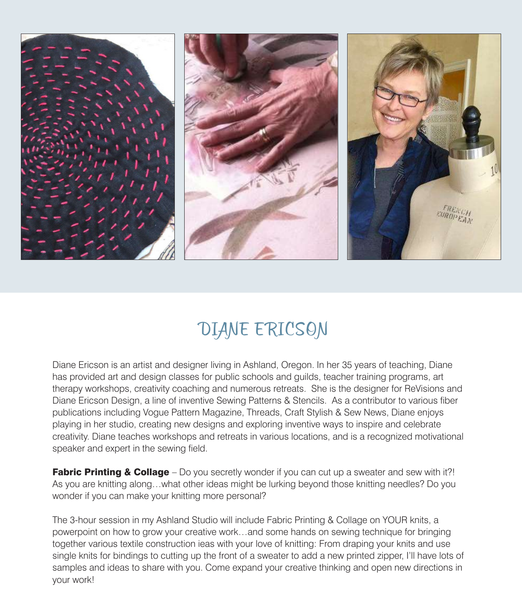

### DIANE ERICSON

Diane Ericson is an artist and designer living in Ashland, Oregon. In her 35 years of teaching, Diane has provided art and design classes for public schools and guilds, teacher training programs, art therapy workshops, creativity coaching and numerous retreats. She is the designer for ReVisions and Diane Ericson Design, a line of inventive Sewing Patterns & Stencils. As a contributor to various fiber publications including Vogue Pattern Magazine, Threads, Craft Stylish & Sew News, Diane enjoys playing in her studio, creating new designs and exploring inventive ways to inspire and celebrate creativity. Diane teaches workshops and retreats in various locations, and is a recognized motivational speaker and expert in the sewing field.

**Fabric Printing & Collage** – Do you secretly wonder if you can cut up a sweater and sew with it?! As you are knitting along…what other ideas might be lurking beyond those knitting needles? Do you wonder if you can make your knitting more personal?

The 3-hour session in my Ashland Studio will include Fabric Printing & Collage on YOUR knits, a powerpoint on how to grow your creative work…and some hands on sewing technique for bringing together various textile construction ieas with your love of knitting: From draping your knits and use single knits for bindings to cutting up the front of a sweater to add a new printed zipper, I'll have lots of samples and ideas to share with you. Come expand your creative thinking and open new directions in your work!